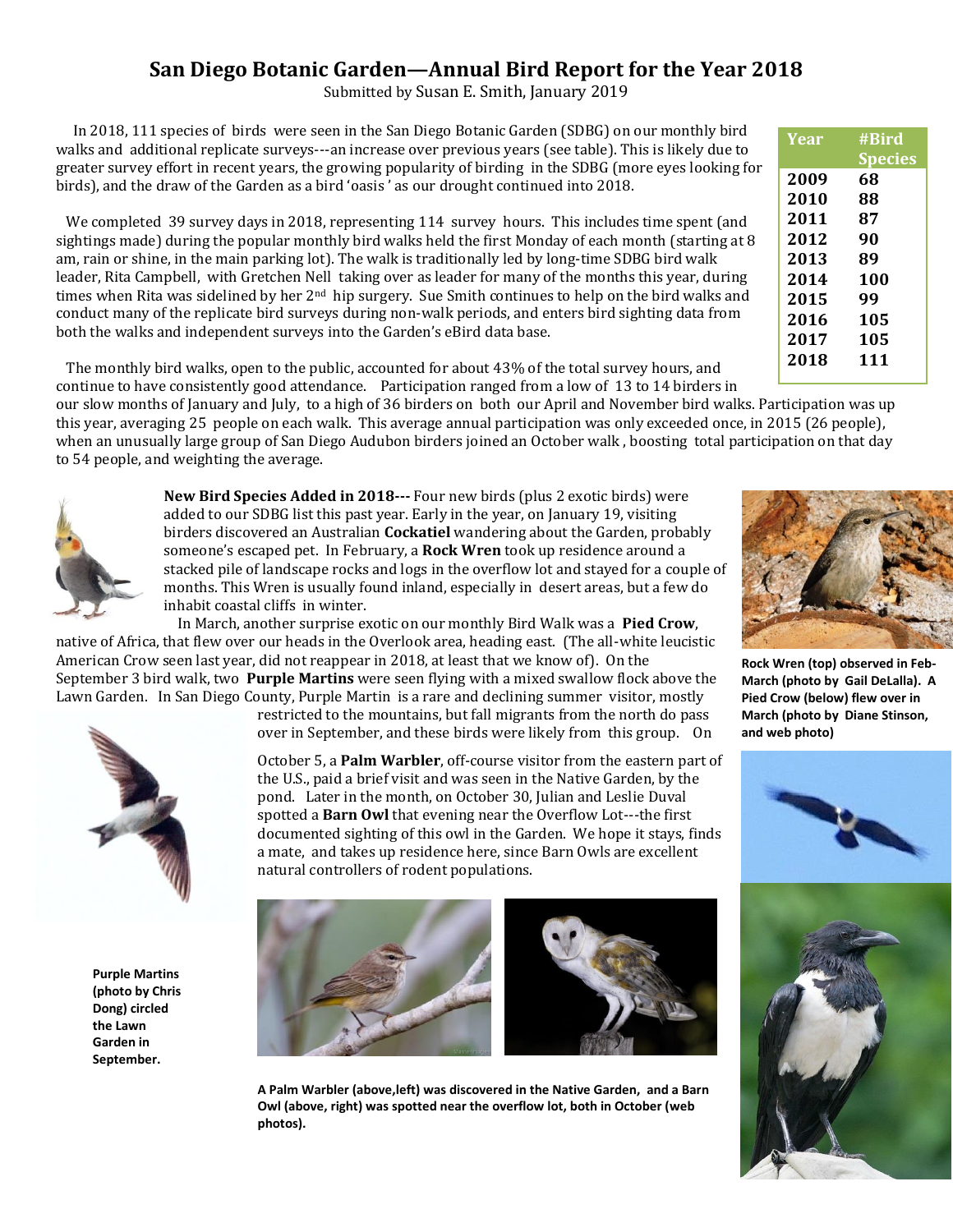## **San Diego Botanic Garden—Annual Bird Report for the Year 2018**

Submitted by Susan E. Smith, January 2019

 In 2018, 111 species of birds were seen in the San Diego Botanic Garden (SDBG) on our monthly bird walks and additional replicate surveys---an increase over previous years (see table). This is likely due to greater survey effort in recent years, the growing popularity of birding in the SDBG (more eyes looking for birds), and the draw of the Garden as a bird 'oasis ' as our drought continued into 2018.

We completed 39 survey days in 2018, representing 114 survey hours. This includes time spent (and sightings made) during the popular monthly bird walks held the first Monday of each month (starting at 8 am, rain or shine, in the main parking lot). The walk is traditionally led by long-time SDBG bird walk leader, Rita Campbell, with Gretchen Nell taking over as leader for many of the months this year, during times when Rita was sidelined by her 2<sup>nd</sup> hip surgery. Sue Smith continues to help on the bird walks and conduct many of the replicate bird surveys during non-walk periods, and enters bird sighting data from both the walks and independent surveys into the Garden's eBird data base.

 The monthly bird walks, open to the public, accounted for about 43% of the total survey hours, and continue to have consistently good attendance. Participation ranged from a low of 13 to 14 birders in

our slow months of January and July, to a high of 36 birders on both our April and November bird walks. Participation was up this year, averaging 25 people on each walk. This average annual participation was only exceeded once, in 2015 (26 people), when an unusually large group of San Diego Audubon birders joined an October walk , boosting total participation on that day to 54 people, and weighting the average.



**New Bird Species Added in 2018---** Four new birds (plus 2 exotic birds) were added to our SDBG list this past year. Early in the year, on January 19, visiting birders discovered an Australian **Cockatiel** wandering about the Garden, probably someone's escaped pet. In February, a **Rock Wren** took up residence around a stacked pile of landscape rocks and logs in the overflow lot and stayed for a couple of months. This Wren is usually found inland, especially in desert areas, but a few do inhabit coastal cliffs in winter.

 In March, another surprise exotic on our monthly Bird Walk was a **Pied Crow**, native of Africa, that flew over our heads in the Overlook area, heading east. (The all-white leucistic American Crow seen last year, did not reappear in 2018, at least that we know of). On the September 3 bird walk, two **Purple Martins** were seen flying with a mixed swallow flock above the Lawn Garden. In San Diego County, Purple Martin is a rare and declining summer visitor, mostly



**Purple Martins (photo by Chris Dong) circled the Lawn Garden in September.** 

restricted to the mountains, but fall migrants from the north do pass over in September, and these birds were likely from this group. On

October 5, a **Palm Warbler**, off-course visitor from the eastern part of the U.S., paid a brief visit and was seen in the Native Garden, by the pond. Later in the month, on October 30, Julian and Leslie Duval spotted a **Barn Owl** that evening near the Overflow Lot---the first documented sighting of this owl in the Garden. We hope it stays, finds a mate, and takes up residence here, since Barn Owls are excellent natural controllers of rodent populations.





**A Palm Warbler (above,left) was discovered in the Native Garden, and a Barn Owl (above, right) was spotted near the overflow lot, both in October (web photos).** 

| Year | #Bird   |
|------|---------|
|      | Species |
| 2009 | 68      |
| 2010 | 88      |
| 2011 | 87      |
| 2012 | 90      |
| 2013 | 89      |
| 2014 | 100     |
| 2015 | 99      |
| 2016 | 105     |
| 2017 | 105     |
| 2018 | 111     |
|      |         |

**Rock Wren (top) observed in Feb-March (photo by Gail DeLalla). A Pied Crow (below) flew over in March (photo by Diane Stinson, and web photo)**